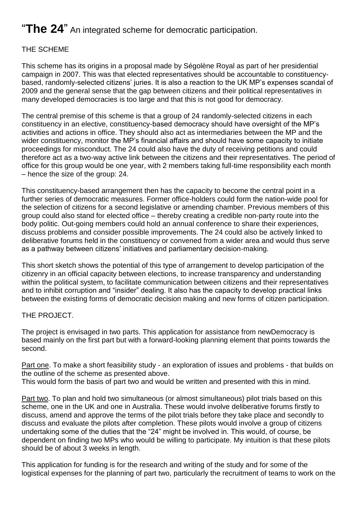# "**The 24**" An integrated scheme for democratic participation.

## THE SCHEME

This scheme has its origins in a proposal made by Ségolène Royal as part of her presidential campaign in 2007. This was that elected representatives should be accountable to constituencybased, randomly-selected citizens' juries. It is also a reaction to the UK MP's expenses scandal of 2009 and the general sense that the gap between citizens and their political representatives in many developed democracies is too large and that this is not good for democracy.

The central premise of this scheme is that a group of 24 randomly-selected citizens in each constituency in an elective, constituency-based democracy should have oversight of the MP's activities and actions in office. They should also act as intermediaries between the MP and the wider constituency, monitor the MP's financial affairs and should have some capacity to initiate proceedings for misconduct. The 24 could also have the duty of receiving petitions and could therefore act as a two-way active link between the citizens and their representatives. The period of office for this group would be one year, with 2 members taking full-time responsibility each month – hence the size of the group: 24.

This constituency-based arrangement then has the capacity to become the central point in a further series of democratic measures. Former office-holders could form the nation-wide pool for the selection of citizens for a second legislative or amending chamber. Previous members of this group could also stand for elected office – thereby creating a credible non-party route into the body politic. Out-going members could hold an annual conference to share their experiences, discuss problems and consider possible improvements. The 24 could also be actively linked to deliberative forums held in the constituency or convened from a wider area and would thus serve as a pathway between citizens' initiatives and parliamentary decision-making.

This short sketch shows the potential of this type of arrangement to develop participation of the citizenry in an official capacity between elections, to increase transparency and understanding within the political system, to facilitate communication between citizens and their representatives and to inhibit corruption and "insider" dealing. It also has the capacity to develop practical links between the existing forms of democratic decision making and new forms of citizen participation.

### THE PROJECT.

The project is envisaged in two parts. This application for assistance from newDemocracy is based mainly on the first part but with a forward-looking planning element that points towards the second.

Part one. To make a short feasibility study - an exploration of issues and problems - that builds on the outline of the scheme as presented above. This would form the basis of part two and would be written and presented with this in mind.

Part two. To plan and hold two simultaneous (or almost simultaneous) pilot trials based on this scheme, one in the UK and one in Australia. These would involve deliberative forums firstly to discuss, amend and approve the terms of the pilot trials before they take place and secondly to discuss and evaluate the pilots after completion. These pilots would involve a group of citizens undertaking some of the duties that the "24" might be involved in. This would, of course, be dependent on finding two MPs who would be willing to participate. My intuition is that these pilots should be of about 3 weeks in length.

This application for funding is for the research and writing of the study and for some of the logistical expenses for the planning of part two, particularly the recruitment of teams to work on the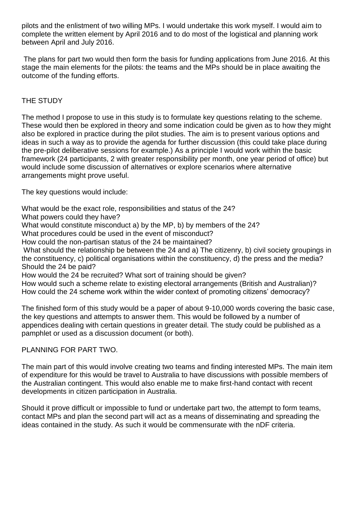pilots and the enlistment of two willing MPs. I would undertake this work myself. I would aim to complete the written element by April 2016 and to do most of the logistical and planning work between April and July 2016.

The plans for part two would then form the basis for funding applications from June 2016. At this stage the main elements for the pilots: the teams and the MPs should be in place awaiting the outcome of the funding efforts.

## THE STUDY

The method I propose to use in this study is to formulate key questions relating to the scheme. These would then be explored in theory and some indication could be given as to how they might also be explored in practice during the pilot studies. The aim is to present various options and ideas in such a way as to provide the agenda for further discussion (this could take place during the pre-pilot deliberative sessions for example.) As a principle I would work within the basic framework (24 participants, 2 with greater responsibility per month, one year period of office) but would include some discussion of alternatives or explore scenarios where alternative arrangements might prove useful.

The key questions would include:

What would be the exact role, responsibilities and status of the 24?

What powers could they have?

What would constitute misconduct a) by the MP, b) by members of the 24?

What procedures could be used in the event of misconduct?

How could the non-partisan status of the 24 be maintained?

What should the relationship be between the 24 and a) The citizenry, b) civil society groupings in the constituency, c) political organisations within the constituency, d) the press and the media? Should the 24 be paid?

How would the 24 be recruited? What sort of training should be given?

How would such a scheme relate to existing electoral arrangements (British and Australian)? How could the 24 scheme work within the wider context of promoting citizens' democracy?

The finished form of this study would be a paper of about 9-10,000 words covering the basic case, the key questions and attempts to answer them. This would be followed by a number of appendices dealing with certain questions in greater detail. The study could be published as a pamphlet or used as a discussion document (or both).

PLANNING FOR PART TWO.

The main part of this would involve creating two teams and finding interested MPs. The main item of expenditure for this would be travel to Australia to have discussions with possible members of the Australian contingent. This would also enable me to make first-hand contact with recent developments in citizen participation in Australia.

Should it prove difficult or impossible to fund or undertake part two, the attempt to form teams, contact MPs and plan the second part will act as a means of disseminating and spreading the ideas contained in the study. As such it would be commensurate with the nDF criteria.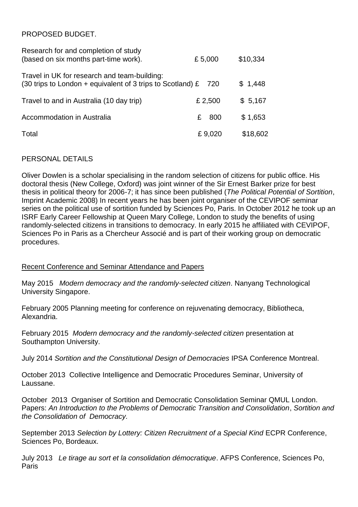## PROPOSED BUDGET.

| Research for and completion of study<br>(based on six months part-time work).                                      | £5,000   | \$10,334 |
|--------------------------------------------------------------------------------------------------------------------|----------|----------|
| Travel in UK for research and team-building:<br>(30 trips to London + equivalent of 3 trips to Scotland) $\hat{E}$ | 720      | \$1,448  |
| Travel to and in Australia (10 day trip)                                                                           | £ 2,500  | \$5,167  |
| Accommodation in Australia                                                                                         | 800<br>£ | \$1,653  |
| Total                                                                                                              | £9,020   | \$18,602 |

### PERSONAL DETAILS

Oliver Dowlen is a scholar specialising in the random selection of citizens for public office. His doctoral thesis (New College, Oxford) was joint winner of the Sir Ernest Barker prize for best thesis in political theory for 2006-7; it has since been published (*The Political Potential of Sortition*, Imprint Academic 2008) In recent years he has been joint organiser of the CEVIPOF seminar series on the political use of sortition funded by Sciences Po, Paris. In October 2012 he took up an ISRF Early Career Fellowship at Queen Mary College, London to study the benefits of using randomly-selected citizens in transitions to democracy. In early 2015 he affiliated with CEVIPOF, Sciences Po in Paris as a Chercheur Associé and is part of their working group on democratic procedures.

### Recent Conference and Seminar Attendance and Papers

May 2015 *Modern democracy and the randomly-selected citizen*. Nanyang Technological University Singapore.

February 2005 Planning meeting for conference on rejuvenating democracy, Bibliotheca, Alexandria.

February 2015 *Modern democracy and the randomly-selected citizen* presentation at Southampton University.

July 2014 *Sortition and the Constitutional Design of Democracies* IPSA Conference Montreal.

October 2013 Collective Intelligence and Democratic Procedures Seminar, University of Laussane.

October 2013 Organiser of Sortition and Democratic Consolidation Seminar QMUL London. Papers: *An Introduction to the Problems of Democratic Transition and Consolidation*, *Sortition and the Consolidation of Democracy.*

September 2013 *Selection by Lottery: Citizen Recruitment of a Special Kind* ECPR Conference, Sciences Po, Bordeaux.

July 2013 *Le tirage au sort et la consolidation démocratique*. AFPS Conference, Sciences Po, Paris